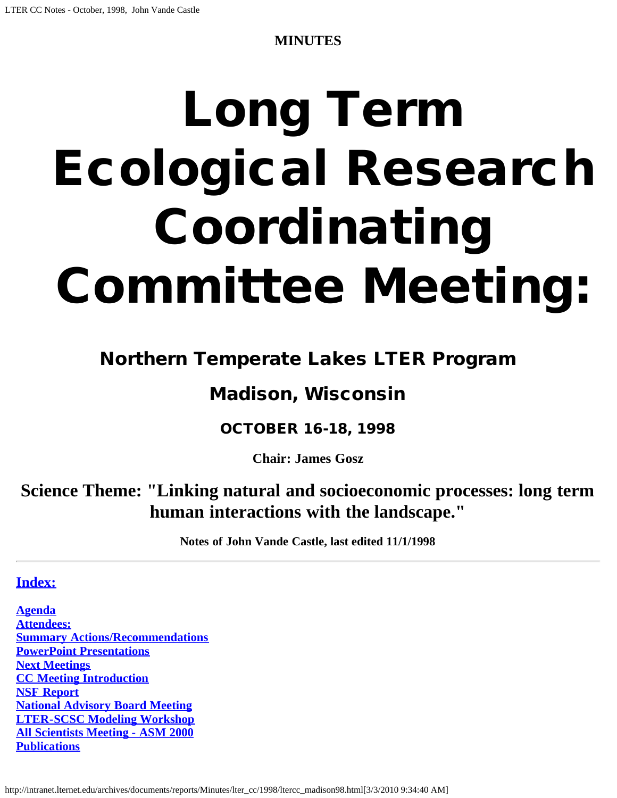**MINUTES**

# Long Term Ecological Research Coordinating Committee Meeting:

# Northern Temperate Lakes LTER Program

# Madison, Wisconsin

# OCTOBER 16-18, 1998

**Chair: James Gosz**

**Science Theme: "Linking natural and socioeconomic processes: long term human interactions with the landscape."**

**Notes of John Vande Castle, last edited 11/1/1998**

# **[Index:](#page-1-0)**

**[Agenda](#page-6-0) [Attendees:](#page-6-1)  [Summary Actions/Recommendations](#page-1-1) [PowerPoint Presentations](#page-1-0) [Next Meetings](http://intranet.lternet.edu/archives/documents/Minutes/lter_cc/1998/Next%20Meetings) [CC Meeting Introduction](#page-2-0) [NSF Report](#page-2-1) [National Advisory Board Meeting](#page-3-0) [LTER-SCSC Modeling Workshop](#page-3-0) [All Scientists Meeting - ASM 2000](#page-3-1) [Publications](#page-3-2)**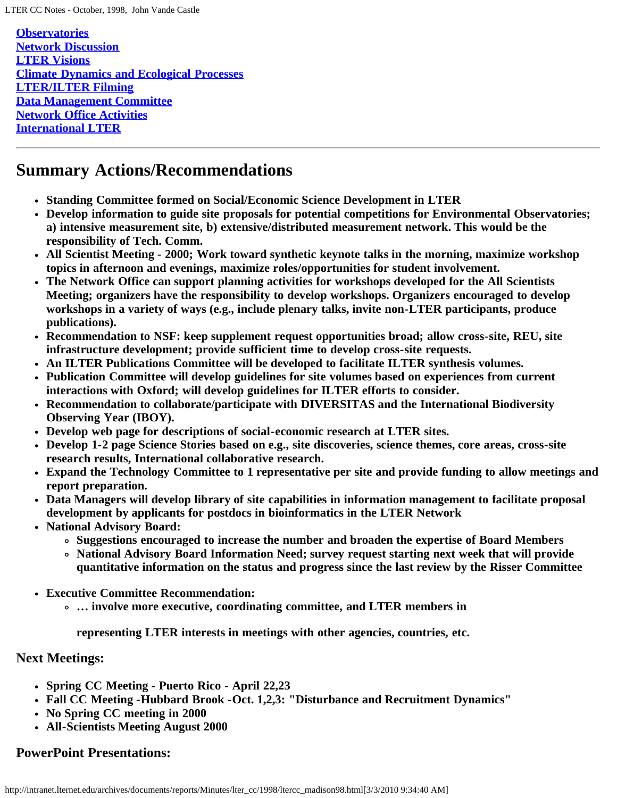**[Observatories](#page-3-3) [Network Discussion](#page-4-0) [LTER Visions](#page-4-1) [Climate Dynamics and Ecological Processes](#page-4-2) [LTER/ILTER Filming](#page-5-0) [Data Management Committee](#page-5-1) [Network Office Activities](#page-6-2) [International LTER](#page-6-3)**

# <span id="page-1-1"></span>**Summary Actions/Recommendations**

- **Standing Committee formed on Social/Economic Science Development in LTER**
- **Develop information to guide site proposals for potential competitions for Environmental Observatories; a) intensive measurement site, b) extensive/distributed measurement network. This would be the responsibility of Tech. Comm.**
- **All Scientist Meeting 2000; Work toward synthetic keynote talks in the morning, maximize workshop topics in afternoon and evenings, maximize roles/opportunities for student involvement.**
- **The Network Office can support planning activities for workshops developed for the All Scientists Meeting; organizers have the responsibility to develop workshops. Organizers encouraged to develop workshops in a variety of ways (e.g., include plenary talks, invite non-LTER participants, produce publications).**
- **Recommendation to NSF: keep supplement request opportunities broad; allow cross-site, REU, site infrastructure development; provide sufficient time to develop cross-site requests.**
- **An ILTER Publications Committee will be developed to facilitate ILTER synthesis volumes.**
- **Publication Committee will develop guidelines for site volumes based on experiences from current interactions with Oxford; will develop guidelines for ILTER efforts to consider.**
- **Recommendation to collaborate/participate with DIVERSITAS and the International Biodiversity Observing Year (IBOY).**
- **Develop web page for descriptions of social-economic research at LTER sites.**
- **Develop 1-2 page Science Stories based on e.g., site discoveries, science themes, core areas, cross-site research results, International collaborative research.**
- **Expand the Technology Committee to 1 representative per site and provide funding to allow meetings and report preparation.**
- **Data Managers will develop library of site capabilities in information management to facilitate proposal development by applicants for postdocs in bioinformatics in the LTER Network**
- **National Advisory Board:**
	- **Suggestions encouraged to increase the number and broaden the expertise of Board Members**
	- **National Advisory Board Information Need; survey request starting next week that will provide quantitative information on the status and progress since the last review by the Risser Committee**
- **Executive Committee Recommendation:**
	- **… involve more executive, coordinating committee, and LTER members in**

**representing LTER interests in meetings with other agencies, countries, etc.**

#### **Next Meetings:**

- **Spring CC Meeting Puerto Rico April 22,23**
- **Fall CC Meeting -Hubbard Brook -Oct. 1,2,3: "Disturbance and Recruitment Dynamics"**
- **No Spring CC meeting in 2000**
- **All-Scientists Meeting August 2000**

# <span id="page-1-0"></span>**PowerPoint Presentations:**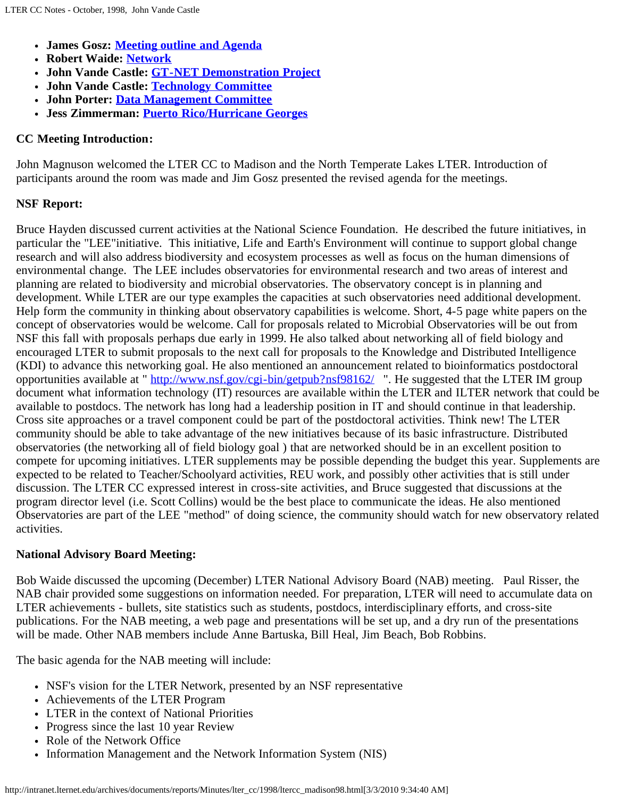- **James Gosz: [Meeting outline and Agenda](http://intranet.lternet.edu/archives/documents/reports/Minutes/lter_cc/1998/gosz_WisCCmtg/index.html)**
- **Robert Waide: [Network](http://intranet.lternet.edu/archives/documents/reports/Minutes/lter_cc/1998/waid_cc/index.html)**
- **John Vande Castle: [GT-NET Demonstration Project](http://intranet.lternet.edu/archives/documents/reports/Minutes/lter_cc/1998/jvc_Madison_cc_1998_GTNET/index.html)**
- **John Vande Castle: [Technology Committee](http://intranet.lternet.edu/archives/documents/reports/Minutes/lter_cc/1998/jvc_Madison_cc_1998_TECHCOM/index.html)**
- **John Porter: [Data Management Committee](http://intranet.lternet.edu/archives/documents/reports/Minutes/lter_cc/1998/porter_imrep98/index.html)**
- **Jess Zimmerman: [Puerto Rico/Hurricane Georges](http://intranet.lternet.edu/archives/documents/reports/Minutes/lter_cc/1998/zimmerman_georges-1998/index.html)**

## <span id="page-2-0"></span>**CC Meeting Introduction:**

John Magnuson welcomed the LTER CC to Madison and the North Temperate Lakes LTER. Introduction of participants around the room was made and Jim Gosz presented the revised agenda for the meetings.

# <span id="page-2-1"></span>**NSF Report:**

Bruce Hayden discussed current activities at the National Science Foundation. He described the future initiatives, in particular the "LEE"initiative. This initiative, Life and Earth's Environment will continue to support global change research and will also address biodiversity and ecosystem processes as well as focus on the human dimensions of environmental change. The LEE includes observatories for environmental research and two areas of interest and planning are related to biodiversity and microbial observatories. The observatory concept is in planning and development. While LTER are our type examples the capacities at such observatories need additional development. Help form the community in thinking about observatory capabilities is welcome. Short, 4-5 page white papers on the concept of observatories would be welcome. Call for proposals related to Microbial Observatories will be out from NSF this fall with proposals perhaps due early in 1999. He also talked about networking all of field biology and encouraged LTER to submit proposals to the next call for proposals to the Knowledge and Distributed Intelligence (KDI) to advance this networking goal. He also mentioned an announcement related to bioinformatics postdoctoral opportunities available at " <http://www.nsf.gov/cgi-bin/getpub?nsf98162/>". He suggested that the LTER IM group document what information technology (IT) resources are available within the LTER and ILTER network that could be available to postdocs. The network has long had a leadership position in IT and should continue in that leadership. Cross site approaches or a travel component could be part of the postdoctoral activities. Think new! The LTER community should be able to take advantage of the new initiatives because of its basic infrastructure. Distributed observatories (the networking all of field biology goal ) that are networked should be in an excellent position to compete for upcoming initiatives. LTER supplements may be possible depending the budget this year. Supplements are expected to be related to Teacher/Schoolyard activities, REU work, and possibly other activities that is still under discussion. The LTER CC expressed interest in cross-site activities, and Bruce suggested that discussions at the program director level (i.e. Scott Collins) would be the best place to communicate the ideas. He also mentioned Observatories are part of the LEE "method" of doing science, the community should watch for new observatory related activities.

# **National Advisory Board Meeting:**

Bob Waide discussed the upcoming (December) LTER National Advisory Board (NAB) meeting. Paul Risser, the NAB chair provided some suggestions on information needed. For preparation, LTER will need to accumulate data on LTER achievements - bullets, site statistics such as students, postdocs, interdisciplinary efforts, and cross-site publications. For the NAB meeting, a web page and presentations will be set up, and a dry run of the presentations will be made. Other NAB members include Anne Bartuska, Bill Heal, Jim Beach, Bob Robbins.

The basic agenda for the NAB meeting will include:

- NSF's vision for the LTER Network, presented by an NSF representative
- Achievements of the LTER Program
- LTER in the context of National Priorities
- Progress since the last 10 year Review
- Role of the Network Office
- Information Management and the Network Information System (NIS)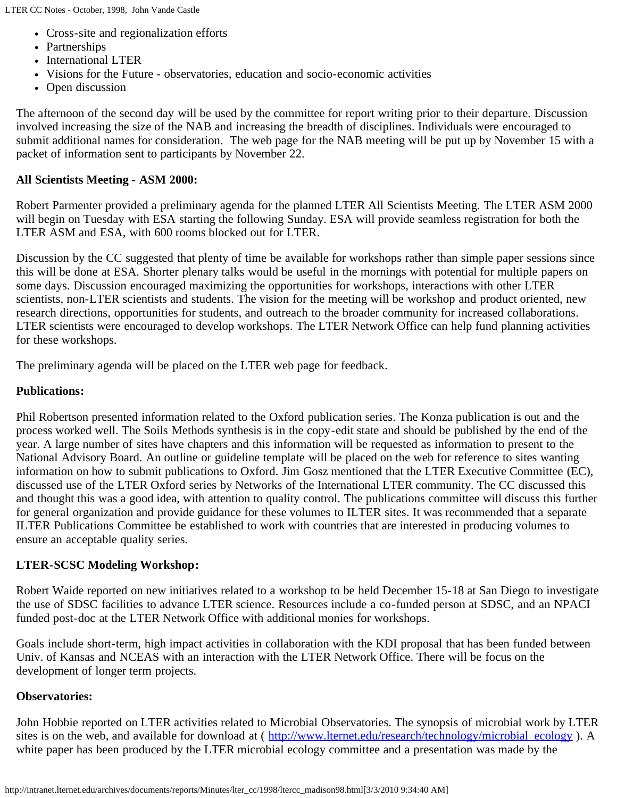- Cross-site and regionalization efforts
- Partnerships
- International LTER
- Visions for the Future observatories, education and socio-economic activities
- Open discussion

The afternoon of the second day will be used by the committee for report writing prior to their departure. Discussion involved increasing the size of the NAB and increasing the breadth of disciplines. Individuals were encouraged to submit additional names for consideration. The web page for the NAB meeting will be put up by November 15 with a packet of information sent to participants by November 22.

#### <span id="page-3-1"></span>**All Scientists Meeting - ASM 2000:**

Robert Parmenter provided a preliminary agenda for the planned LTER All Scientists Meeting. The LTER ASM 2000 will begin on Tuesday with ESA starting the following Sunday. ESA will provide seamless registration for both the LTER ASM and ESA, with 600 rooms blocked out for LTER.

Discussion by the CC suggested that plenty of time be available for workshops rather than simple paper sessions since this will be done at ESA. Shorter plenary talks would be useful in the mornings with potential for multiple papers on some days. Discussion encouraged maximizing the opportunities for workshops, interactions with other LTER scientists, non-LTER scientists and students. The vision for the meeting will be workshop and product oriented, new research directions, opportunities for students, and outreach to the broader community for increased collaborations. LTER scientists were encouraged to develop workshops. The LTER Network Office can help fund planning activities for these workshops.

The preliminary agenda will be placed on the LTER web page for feedback.

#### <span id="page-3-2"></span>**Publications:**

Phil Robertson presented information related to the Oxford publication series. The Konza publication is out and the process worked well. The Soils Methods synthesis is in the copy-edit state and should be published by the end of the year. A large number of sites have chapters and this information will be requested as information to present to the National Advisory Board. An outline or guideline template will be placed on the web for reference to sites wanting information on how to submit publications to Oxford. Jim Gosz mentioned that the LTER Executive Committee (EC), discussed use of the LTER Oxford series by Networks of the International LTER community. The CC discussed this and thought this was a good idea, with attention to quality control. The publications committee will discuss this further for general organization and provide guidance for these volumes to ILTER sites. It was recommended that a separate ILTER Publications Committee be established to work with countries that are interested in producing volumes to ensure an acceptable quality series.

#### <span id="page-3-0"></span>**LTER-SCSC Modeling Workshop:**

Robert Waide reported on new initiatives related to a workshop to be held December 15-18 at San Diego to investigate the use of SDSC facilities to advance LTER science. Resources include a co-funded person at SDSC, and an NPACI funded post-doc at the LTER Network Office with additional monies for workshops.

Goals include short-term, high impact activities in collaboration with the KDI proposal that has been funded between Univ. of Kansas and NCEAS with an interaction with the LTER Network Office. There will be focus on the development of longer term projects.

#### <span id="page-3-3"></span>**Observatories:**

John Hobbie reported on LTER activities related to Microbial Observatories. The synopsis of microbial work by LTER sites is on the web, and available for download at (http://www.lternet.edu/research/technology/microbial\_ecology). A white paper has been produced by the LTER microbial ecology committee and a presentation was made by the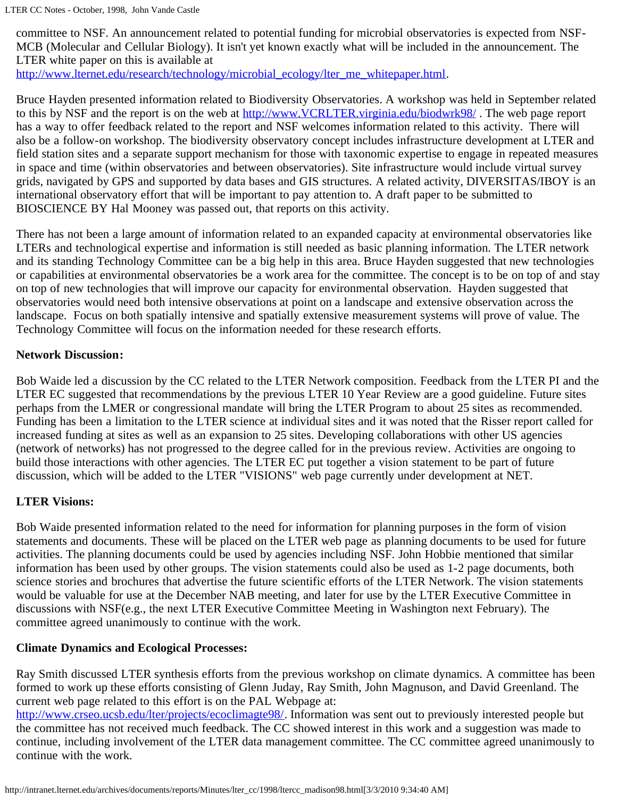LTER CC Notes - October, 1998, John Vande Castle

committee to NSF. An announcement related to potential funding for microbial observatories is expected from NSF-MCB (Molecular and Cellular Biology). It isn't yet known exactly what will be included in the announcement. The LTER white paper on this is available at

[http://www.lternet.edu/research/technology/microbial\\_ecology/lter\\_me\\_whitepaper.html.](http://www.lternet.edu/research/technology/microbial_ecology/lter_me_whitepaper.html)

Bruce Hayden presented information related to Biodiversity Observatories. A workshop was held in September related to this by NSF and the report is on the web at http://www.VCRLTER.virginia.edu/biodwrk98/. The web page report has a way to offer feedback related to the report and NSF welcomes information related to this activity. There will also be a follow-on workshop. The biodiversity observatory concept includes infrastructure development at LTER and field station sites and a separate support mechanism for those with taxonomic expertise to engage in repeated measures in space and time (within observatories and between observatories). Site infrastructure would include virtual survey grids, navigated by GPS and supported by data bases and GIS structures. A related activity, DIVERSITAS/IBOY is an international observatory effort that will be important to pay attention to. A draft paper to be submitted to BIOSCIENCE BY Hal Mooney was passed out, that reports on this activity.

There has not been a large amount of information related to an expanded capacity at environmental observatories like LTERs and technological expertise and information is still needed as basic planning information. The LTER network and its standing Technology Committee can be a big help in this area. Bruce Hayden suggested that new technologies or capabilities at environmental observatories be a work area for the committee. The concept is to be on top of and stay on top of new technologies that will improve our capacity for environmental observation. Hayden suggested that observatories would need both intensive observations at point on a landscape and extensive observation across the landscape. Focus on both spatially intensive and spatially extensive measurement systems will prove of value. The Technology Committee will focus on the information needed for these research efforts.

#### <span id="page-4-0"></span>**Network Discussion:**

Bob Waide led a discussion by the CC related to the LTER Network composition. Feedback from the LTER PI and the LTER EC suggested that recommendations by the previous LTER 10 Year Review are a good guideline. Future sites perhaps from the LMER or congressional mandate will bring the LTER Program to about 25 sites as recommended. Funding has been a limitation to the LTER science at individual sites and it was noted that the Risser report called for increased funding at sites as well as an expansion to 25 sites. Developing collaborations with other US agencies (network of networks) has not progressed to the degree called for in the previous review. Activities are ongoing to build those interactions with other agencies. The LTER EC put together a vision statement to be part of future discussion, which will be added to the LTER "VISIONS" web page currently under development at NET.

#### <span id="page-4-1"></span>**LTER Visions:**

Bob Waide presented information related to the need for information for planning purposes in the form of vision statements and documents. These will be placed on the LTER web page as planning documents to be used for future activities. The planning documents could be used by agencies including NSF. John Hobbie mentioned that similar information has been used by other groups. The vision statements could also be used as 1-2 page documents, both science stories and brochures that advertise the future scientific efforts of the LTER Network. The vision statements would be valuable for use at the December NAB meeting, and later for use by the LTER Executive Committee in discussions with NSF(e.g., the next LTER Executive Committee Meeting in Washington next February). The committee agreed unanimously to continue with the work.

#### <span id="page-4-2"></span>**Climate Dynamics and Ecological Processes:**

Ray Smith discussed LTER synthesis efforts from the previous workshop on climate dynamics. A committee has been formed to work up these efforts consisting of Glenn Juday, Ray Smith, John Magnuson, and David Greenland. The current web page related to this effort is on the PAL Webpage at:

<http://www.crseo.ucsb.edu/lter/projects/ecoclimagte98/>. Information was sent out to previously interested people but the committee has not received much feedback. The CC showed interest in this work and a suggestion was made to continue, including involvement of the LTER data management committee. The CC committee agreed unanimously to continue with the work.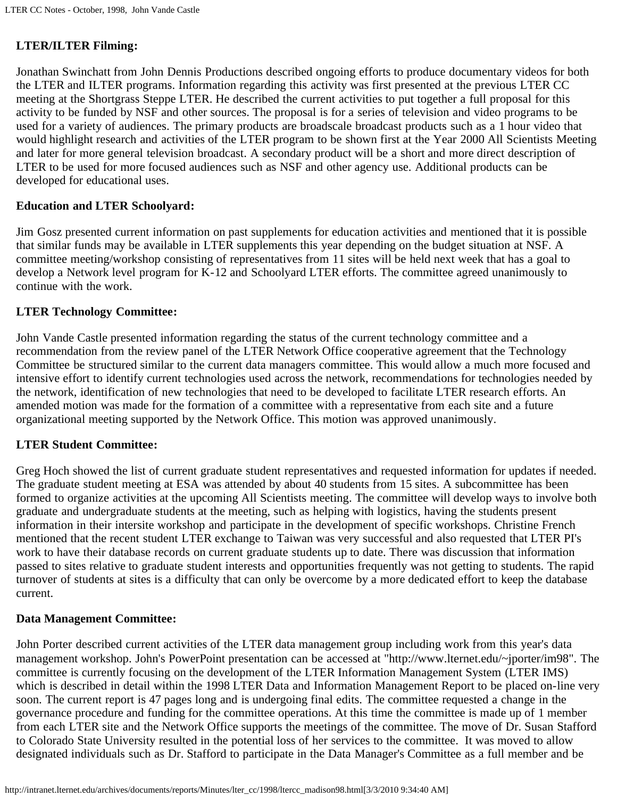#### <span id="page-5-0"></span>**LTER/ILTER Filming:**

Jonathan Swinchatt from John Dennis Productions described ongoing efforts to produce documentary videos for both the LTER and ILTER programs. Information regarding this activity was first presented at the previous LTER CC meeting at the Shortgrass Steppe LTER. He described the current activities to put together a full proposal for this activity to be funded by NSF and other sources. The proposal is for a series of television and video programs to be used for a variety of audiences. The primary products are broadscale broadcast products such as a 1 hour video that would highlight research and activities of the LTER program to be shown first at the Year 2000 All Scientists Meeting and later for more general television broadcast. A secondary product will be a short and more direct description of LTER to be used for more focused audiences such as NSF and other agency use. Additional products can be developed for educational uses.

#### **Education and LTER Schoolyard:**

Jim Gosz presented current information on past supplements for education activities and mentioned that it is possible that similar funds may be available in LTER supplements this year depending on the budget situation at NSF. A committee meeting/workshop consisting of representatives from 11 sites will be held next week that has a goal to develop a Network level program for K-12 and Schoolyard LTER efforts. The committee agreed unanimously to continue with the work.

#### **LTER Technology Committee:**

John Vande Castle presented information regarding the status of the current technology committee and a recommendation from the review panel of the LTER Network Office cooperative agreement that the Technology Committee be structured similar to the current data managers committee. This would allow a much more focused and intensive effort to identify current technologies used across the network, recommendations for technologies needed by the network, identification of new technologies that need to be developed to facilitate LTER research efforts. An amended motion was made for the formation of a committee with a representative from each site and a future organizational meeting supported by the Network Office. This motion was approved unanimously.

#### **LTER Student Committee:**

Greg Hoch showed the list of current graduate student representatives and requested information for updates if needed. The graduate student meeting at ESA was attended by about 40 students from 15 sites. A subcommittee has been formed to organize activities at the upcoming All Scientists meeting. The committee will develop ways to involve both graduate and undergraduate students at the meeting, such as helping with logistics, having the students present information in their intersite workshop and participate in the development of specific workshops. Christine French mentioned that the recent student LTER exchange to Taiwan was very successful and also requested that LTER PI's work to have their database records on current graduate students up to date. There was discussion that information passed to sites relative to graduate student interests and opportunities frequently was not getting to students. The rapid turnover of students at sites is a difficulty that can only be overcome by a more dedicated effort to keep the database current.

#### <span id="page-5-1"></span>**Data Management Committee:**

John Porter described current activities of the LTER data management group including work from this year's data management workshop. John's PowerPoint presentation can be accessed at "http://www.lternet.edu/~jporter/im98". The committee is currently focusing on the development of the LTER Information Management System (LTER IMS) which is described in detail within the 1998 LTER Data and Information Management Report to be placed on-line very soon. The current report is 47 pages long and is undergoing final edits. The committee requested a change in the governance procedure and funding for the committee operations. At this time the committee is made up of 1 member from each LTER site and the Network Office supports the meetings of the committee. The move of Dr. Susan Stafford to Colorado State University resulted in the potential loss of her services to the committee. It was moved to allow designated individuals such as Dr. Stafford to participate in the Data Manager's Committee as a full member and be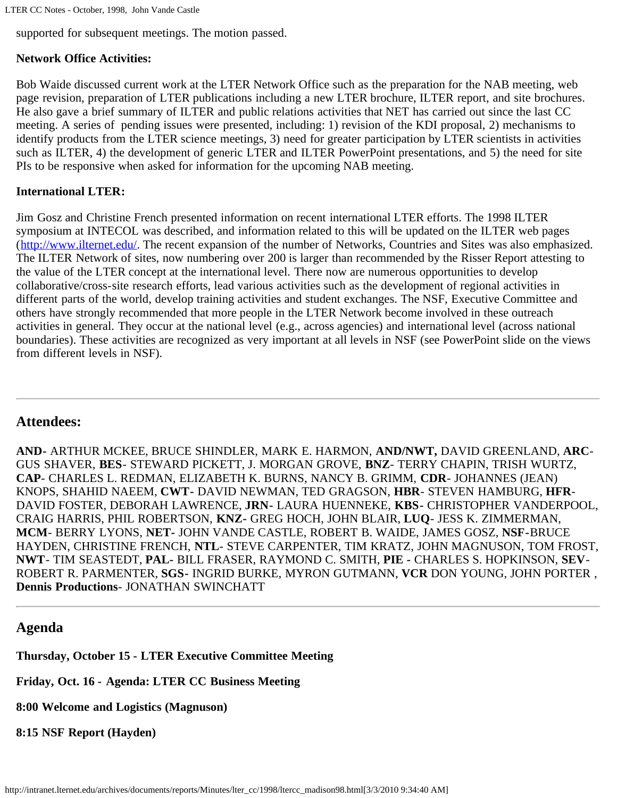supported for subsequent meetings. The motion passed.

# <span id="page-6-2"></span>**Network Office Activities:**

Bob Waide discussed current work at the LTER Network Office such as the preparation for the NAB meeting, web page revision, preparation of LTER publications including a new LTER brochure, ILTER report, and site brochures. He also gave a brief summary of ILTER and public relations activities that NET has carried out since the last CC meeting. A series of pending issues were presented, including: 1) revision of the KDI proposal, 2) mechanisms to identify products from the LTER science meetings, 3) need for greater participation by LTER scientists in activities such as ILTER, 4) the development of generic LTER and ILTER PowerPoint presentations, and 5) the need for site PIs to be responsive when asked for information for the upcoming NAB meeting.

# <span id="page-6-3"></span>**International LTER:**

Jim Gosz and Christine French presented information on recent international LTER efforts. The 1998 ILTER symposium at INTECOL was described, and information related to this will be updated on the ILTER web pages ([http://www.ilternet.edu/.](http://www.ilternet.edu/) The recent expansion of the number of Networks, Countries and Sites was also emphasized. The ILTER Network of sites, now numbering over 200 is larger than recommended by the Risser Report attesting to the value of the LTER concept at the international level. There now are numerous opportunities to develop collaborative/cross-site research efforts, lead various activities such as the development of regional activities in different parts of the world, develop training activities and student exchanges. The NSF, Executive Committee and others have strongly recommended that more people in the LTER Network become involved in these outreach activities in general. They occur at the national level (e.g., across agencies) and international level (across national boundaries). These activities are recognized as very important at all levels in NSF (see PowerPoint slide on the views from different levels in NSF).

## <span id="page-6-1"></span>**Attendees:**

**AND-** ARTHUR MCKEE, BRUCE SHINDLER, MARK E. HARMON, **AND/NWT,** DAVID GREENLAND, **ARC**-GUS SHAVER, **BES**- STEWARD PICKETT, J. MORGAN GROVE, **BNZ**- TERRY CHAPIN, TRISH WURTZ, **CAP**- CHARLES L. REDMAN, ELIZABETH K. BURNS, NANCY B. GRIMM, **CDR**- JOHANNES (JEAN) KNOPS, SHAHID NAEEM, **CWT-** DAVID NEWMAN, TED GRAGSON, **HBR**- STEVEN HAMBURG, **HFR**-DAVID FOSTER, DEBORAH LAWRENCE, **JRN-** LAURA HUENNEKE, **KBS-** CHRISTOPHER VANDERPOOL, CRAIG HARRIS, PHIL ROBERTSON, **KNZ-** GREG HOCH, JOHN BLAIR, **LUQ**- JESS K. ZIMMERMAN, **MCM**- BERRY LYONS, **NET-** JOHN VANDE CASTLE, ROBERT B. WAIDE, JAMES GOSZ, **NSF-**BRUCE HAYDEN, CHRISTINE FRENCH, **NTL**- STEVE CARPENTER, TIM KRATZ, JOHN MAGNUSON, TOM FROST, **NWT**- TIM SEASTEDT, **PAL-** BILL FRASER, RAYMOND C. SMITH, **PIE -** CHARLES S. HOPKINSON, **SEV**-ROBERT R. PARMENTER, **SGS-** INGRID BURKE, MYRON GUTMANN, **VCR** DON YOUNG, JOHN PORTER , **Dennis Productions**- JONATHAN SWINCHATT

## <span id="page-6-0"></span>**Agenda**

**Thursday, October 15 - LTER Executive Committee Meeting**

**Friday, Oct. 16 - Agenda: LTER CC Business Meeting**

**8:00 Welcome and Logistics (Magnuson)**

**8:15 NSF Report (Hayden)**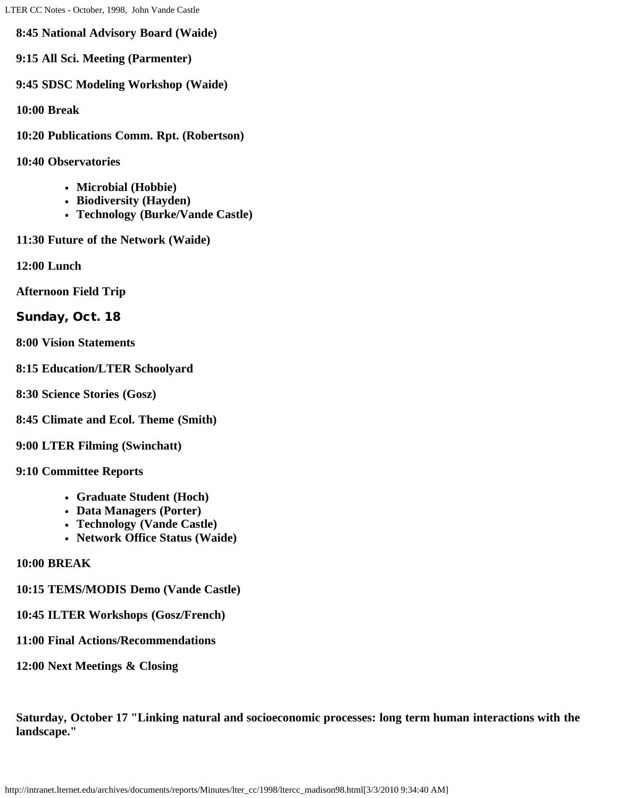**8:45 National Advisory Board (Waide)**

**9:15 All Sci. Meeting (Parmenter)**

**9:45 SDSC Modeling Workshop (Waide)**

**10:00 Break**

**10:20 Publications Comm. Rpt. (Robertson)**

**10:40 Observatories**

- **Microbial (Hobbie)**
- **Biodiversity (Hayden)**
- **Technology (Burke/Vande Castle)**
- **11:30 Future of the Network (Waide)**

**12:00 Lunch**

**Afternoon Field Trip**

Sunday, Oct. 18

**8:00 Vision Statements**

**8:15 Education/LTER Schoolyard**

**8:30 Science Stories (Gosz)**

**8:45 Climate and Ecol. Theme (Smith)**

**9:00 LTER Filming (Swinchatt)**

**9:10 Committee Reports**

- **Graduate Student (Hoch)**
- **Data Managers (Porter)**
- **Technology (Vande Castle)**
- **Network Office Status (Waide)**

**10:00 BREAK**

**10:15 TEMS/MODIS Demo (Vande Castle)**

**10:45 ILTER Workshops (Gosz/French)**

#### **11:00 Final Actions/Recommendations**

**12:00 Next Meetings & Closing**

**Saturday, October 17 "Linking natural and socioeconomic processes: long term human interactions with the landscape."**